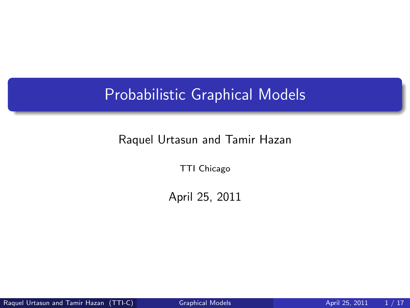## Probabilistic Graphical Models

#### Raquel Urtasun and Tamir Hazan

TTI Chicago

<span id="page-0-0"></span>April 25, 2011

Raquel Urtasun and Tamir Hazan (TTI-C) [Graphical Models](#page-16-0) April 25, 2011 1/17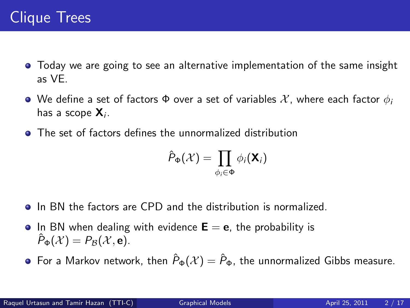- Today we are going to see an alternative implementation of the same insight as VE.
- We define a set of factors  $\Phi$  over a set of variables X, where each factor  $\phi_i$ has a scope  $\mathsf{X}_{i}$ .
- **•** The set of factors defines the unnormalized distribution

$$
\hat{P}_{\Phi}(\mathcal{X}) = \prod_{\phi_i \in \Phi} \phi_i(\mathbf{X}_i)
$$

- **In BN** the factors are CPD and the distribution is normalized.
- In BN when dealing with evidence  $E = e$ , the probability is  $P_{\Phi}(\mathcal{X}) = P_{\mathcal{B}}(\mathcal{X}, \mathbf{e}).$
- **•** For a Markov network, then  $\hat{P}_{\Phi}(\mathcal{X}) = \hat{P}_{\Phi}$ , the unnormalized Gibbs measure.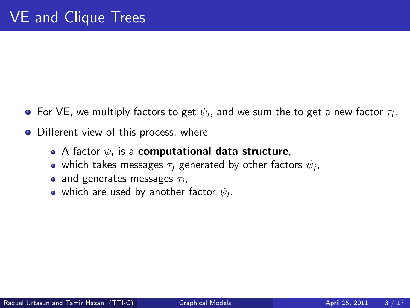- For VE, we multiply factors to get  $\psi_i$ , and we sum the to get a new factor  $\tau_i.$
- Different view of this process, where
	- A factor  $\psi_i$  is a **computational data structure**,
	- which takes messages  $\tau_j$  generated by other factors  $\psi_j$ ,
	- and generates messages  $\tau_i$ ,
	- which are used by another factor  $\psi_I.$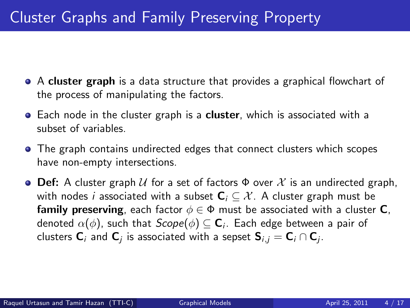# Cluster Graphs and Family Preserving Property

- A cluster graph is a data structure that provides a graphical flowchart of the process of manipulating the factors.
- **Each node in the cluster graph is a cluster, which is associated with a** subset of variables.
- The graph contains undirected edges that connect clusters which scopes have non-empty intersections.
- **Def:** A cluster graph U for a set of factors  $\Phi$  over X is an undirected graph, with nodes *i* associated with a subset  $C_i \subseteq \mathcal{X}$ . A cluster graph must be **family preserving**, each factor  $\phi \in \Phi$  must be associated with a cluster **C**, denoted  $\alpha(\phi)$ , such that  $\mathcal{S} \mathcal{cop} e(\phi) \subseteq \mathbf{C}_i$ . Each edge between a pair of clusters  ${\sf C}_i$  and  ${\sf C}_j$  is associated with a sepset  ${\sf S}_{i,j}={\sf C}_i\cap{\sf C}_j$ .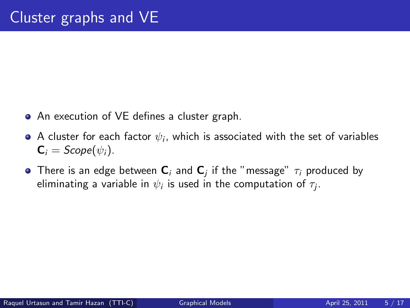- An execution of VE defines a cluster graph.
- A cluster for each factor  $\psi_i$ , which is associated with the set of variables  $\mathbf{C}_i = \text{Scope}(\psi_i).$
- There is an edge between  ${\sf C}_i$  and  ${\sf C}_j$  if the "message"  $\tau_i$  produced by eliminating a variable in  $\psi_i$  is used in the computation of  $\tau_j.$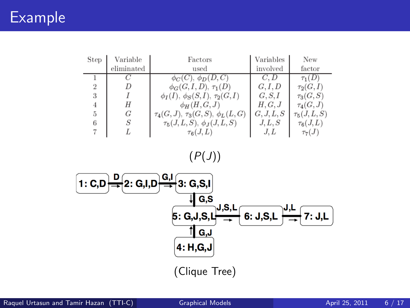## Example

| <b>Step</b> | Variable   | Factors                                    | Variables  | <b>New</b>      |
|-------------|------------|--------------------------------------------|------------|-----------------|
|             | eliminated | used                                       | involved   | factor          |
|             |            | $\phi_C(C), \phi_D(D, C)$                  |            | $\tau_1(D)$     |
| 2           |            | $\phi_G(G, I, D), \tau_1(D)$               | G, I, D    | $\tau_2(G,I)$   |
| 3           |            | $\phi_I(I), \phi_S(S,I), \tau_2(G,I)$      | G, S, I    | $\tau_3(G, S)$  |
|             | Н          | $\phi_H(H,G,J)$                            | H, G, J    | $\tau_4(G,J)$   |
| 5           | G          | $\tau_4(G, J), \tau_3(G, S), \phi_L(L, G)$ | G, J, L, S | $\tau_5(J,L,S)$ |
| 6           | S          | $\tau_5(J,L,S), \phi_J(J,L,S)$             | J, L, S    | $\tau_6(J,L)$   |
|             |            | $\tau_6(J,L)$                              | J.L        | $\tau_{7}(J)$   |

 $(P(J))$ 

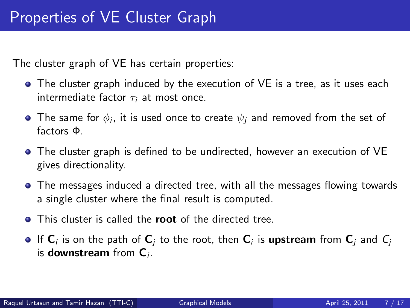The cluster graph of VE has certain properties:

- The cluster graph induced by the execution of VE is a tree, as it uses each intermediate factor  $\tau_i$  at most once.
- The same for  $\phi_i$ , it is used once to create  $\psi_j$  and removed from the set of factors Φ.
- The cluster graph is defined to be undirected, however an execution of VE gives directionality.
- The messages induced a directed tree, with all the messages flowing towards a single cluster where the final result is computed.
- **O** This cluster is called the **root** of the directed tree.
- If  ${\sf C}_i$  is on the path of  ${\sf C}_j$  to the root, then  ${\sf C}_i$  is  $upstream from  ${\sf C}_j$  and  $\mathcal{C}_j$$ is downstream from  $C_i$ .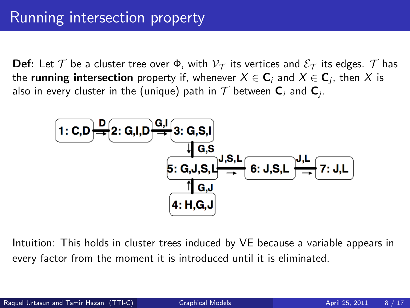**Def:** Let  $\mathcal T$  be a cluster tree over  $\Phi$ , with  $\mathcal V_{\mathcal T}$  its vertices and  $\mathcal E_{\mathcal T}$  its edges.  $\mathcal T$  has the **running intersection** property if, whenever  $X \in \mathsf{C}_i$  and  $X \in \mathsf{C}_j$ , then  $X$  is also in every cluster in the (unique) path in  $\mathcal T$  between  $\mathsf C_i$  and  $\mathsf C_j$ .



Intuition: This holds in cluster trees induced by VE because a variable appears in every factor from the moment it is introduced until it is eliminated.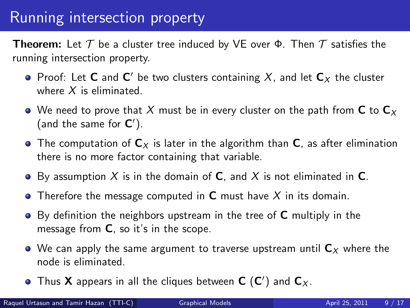## Running intersection property

**Theorem:** Let  $T$  be a cluster tree induced by VE over  $\Phi$ . Then  $T$  satisfies the running intersection property.

- Proof: Let **C** and  $C'$  be two clusters containing  $X$ , and let  $C_X$  the cluster where  $X$  is eliminated.
- We need to prove that X must be in every cluster on the path from C to  $C_x$ (and the same for  $C'$ ).
- The computation of  $C_x$  is later in the algorithm than C, as after elimination there is no more factor containing that variable.
- $\bullet$  By assumption X is in the domain of C, and X is not eliminated in C.
- Therefore the message computed in  $C$  must have  $X$  in its domain.
- $\bullet$  By definition the neighbors upstream in the tree of  $\mathsf C$  multiply in the message from C, so it's in the scope.
- $\bullet$  We can apply the same argument to traverse upstream until  $C_x$  where the node is eliminated.
- Thus **X** appears in all the cliques between  $C(C')$  and  $C_X$ .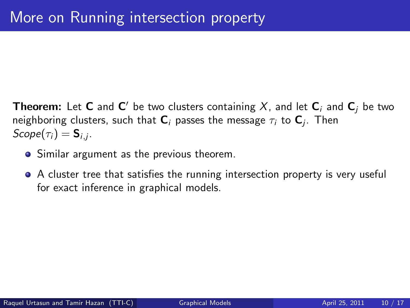**Theorem:** Let **C** and  $\textbf{C}'$  be two clusters containing  $X$ , and let  $\textbf{C}_i$  and  $\textbf{C}_j$  be two neighboring clusters, such that  ${\sf C}_i$  passes the message  $\tau_i$  to  ${\sf C}_j$ . Then  $\mathcal{S} \mathcal{c} \mathit{ope}(\tau_i) = \mathsf{S}_{i,j}.$ 

- Similar argument as the previous theorem.
- A cluster tree that satisfies the running intersection property is very useful for exact inference in graphical models.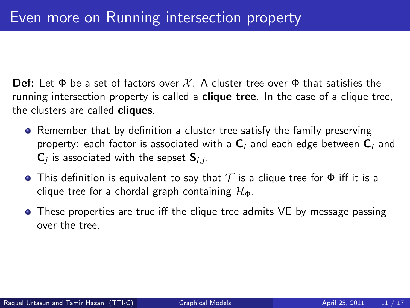**Def:** Let  $\Phi$  be a set of factors over X. A cluster tree over  $\Phi$  that satisfies the running intersection property is called a **clique tree**. In the case of a clique tree, the clusters are called cliques.

- Remember that by definition a cluster tree satisfy the family preserving property: each factor is associated with a  $C_i$  and each edge between  $C_i$  and  $\mathsf{C}_j$  is associated with the sepset  $\mathsf{S}_{i,j}.$
- **•** This definition is equivalent to say that  $T$  is a clique tree for  $\Phi$  iff it is a clique tree for a chordal graph containing  $\mathcal{H}_{\Phi}$ .
- These properties are true iff the clique tree admits VE by message passing over the tree.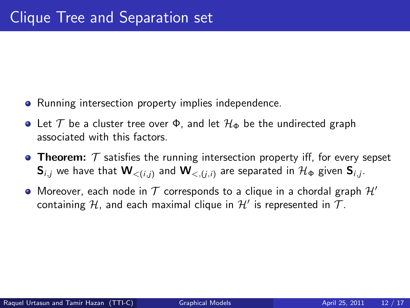- Running intersection property implies independence.
- Let  $\mathcal T$  be a cluster tree over  $\Phi$ , and let  $\mathcal H_{\Phi}$  be the undirected graph associated with this factors.
- **Theorem:**  $\mathcal T$  satisfies the running intersection property iff, for every sepset  ${\sf S}_{i,j}$  we have that  ${\sf W}_{<(i,j)}$  and  ${\sf W}_{<(j,i)}$  are separated in  ${\cal H}_\Phi$  given  ${\sf S}_{i,j}.$
- $\bullet$  Moreover, each node in  $\mathcal T$  corresponds to a clique in a chordal graph  $\mathcal H'$ containing  ${\cal H}$ , and each maximal clique in  ${\cal H}'$  is represented in  ${\cal T}.$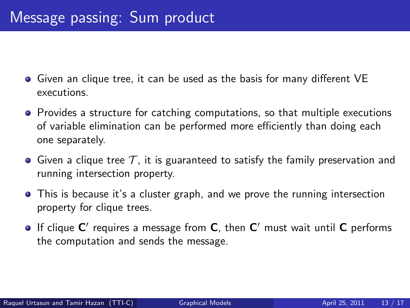- Given an clique tree, it can be used as the basis for many different VE executions.
- Provides a structure for catching computations, so that multiple executions of variable elimination can be performed more efficiently than doing each one separately.
- Given a clique tree  $\mathcal T$ , it is guaranteed to satisfy the family preservation and running intersection property.
- This is because it's a cluster graph, and we prove the running intersection property for clique trees.
- If clique  $C'$  requires a message from  $C$ , then  $C'$  must wait until  $C$  performs the computation and sends the message.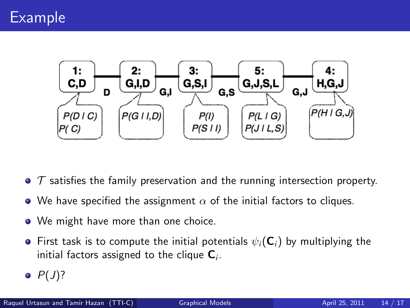

- $\bullet$   $\tau$  satisfies the family preservation and the running intersection property.
- We have specified the assignment  $\alpha$  of the initial factors to cliques.
- We might have more than one choice.
- **•** First task is to compute the initial potentials  $\psi_i(\mathbf{C}_i)$  by multiplying the initial factors assigned to the clique  ${\sf C}_i.$
- $\bullet$   $P(J)$ ?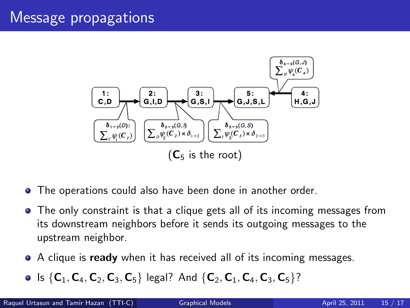#### Message propagations



- The operations could also have been done in another order.
- The only constraint is that a clique gets all of its incoming messages from its downstream neighbors before it sends its outgoing messages to the upstream neighbor.
- A clique is **ready** when it has received all of its incoming messages.
- Is  $\{C_1, C_4, C_2, C_3, C_5\}$  legal? And  $\{C_2, C_1, C_4, C_3, C_5\}$ ?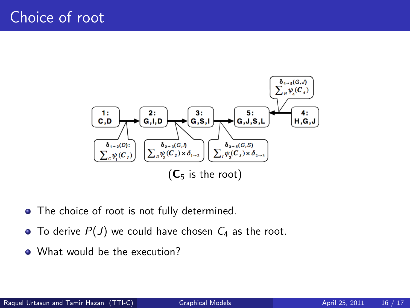

- The choice of root is not fully determined.
- $\bullet$  To derive  $P(J)$  we could have chosen  $C_4$  as the root.
- What would be the execution?